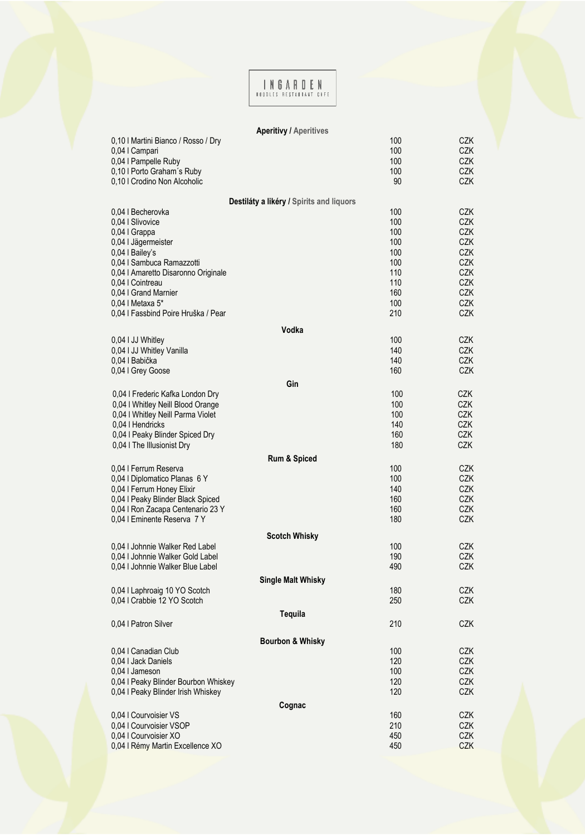## INGARDEN

## **Aperitivy / Aperitives**

| 0,10   Martini Bianco / Rosso / Dry                    | 100        | <b>CZK</b>               |
|--------------------------------------------------------|------------|--------------------------|
| 0,04   Campari                                         | 100        | <b>CZK</b>               |
| 0,04   Pampelle Ruby                                   | 100        | <b>CZK</b>               |
| 0,10   Porto Graham's Ruby                             | 100        | <b>CZK</b>               |
| 0,10   Crodino Non Alcoholic                           | 90         | <b>CZK</b>               |
| Destiláty a likéry / Spirits and liquors               |            |                          |
| 0.04   Becherovka                                      | 100        | <b>CZK</b>               |
| 0,04   Slivovice                                       | 100        | <b>CZK</b>               |
| 0,04   Grappa                                          | 100        | <b>CZK</b>               |
| 0,04   Jägermeister                                    | 100        | <b>CZK</b>               |
| 0,04   Bailey's                                        | 100        | <b>CZK</b>               |
| 0,04   Sambuca Ramazzotti                              | 100        | <b>CZK</b>               |
| 0,04   Amaretto Disaronno Originale                    | 110        | <b>CZK</b>               |
| 0,04   Cointreau                                       | 110        | <b>CZK</b>               |
| 0,04   Grand Marnier                                   | 160        | <b>CZK</b>               |
| 0,04   Metaxa 5*                                       | 100        | <b>CZK</b>               |
| 0,04 l Fassbind Poire Hruška / Pear                    | 210        | <b>CZK</b>               |
| Vodka                                                  |            |                          |
| 0,04 I JJ Whitley                                      | 100        | <b>CZK</b>               |
| 0,04 I JJ Whitley Vanilla                              | 140        | <b>CZK</b>               |
| 0,04   Babička                                         | 140        | <b>CZK</b>               |
| 0,04   Grey Goose                                      | 160        | <b>CZK</b>               |
| Gin                                                    |            |                          |
| 0,04   Frederic Kafka London Dry                       | 100        | <b>CZK</b>               |
| 0,04 I Whitley Neill Blood Orange                      | 100        | <b>CZK</b>               |
| 0,04 I Whitley Neill Parma Violet                      | 100        | <b>CZK</b>               |
| 0,04   Hendricks                                       | 140        | <b>CZK</b>               |
| 0,04   Peaky Blinder Spiced Dry                        | 160        | <b>CZK</b>               |
| 0,04 I The Illusionist Dry                             | 180        | CZK                      |
| Rum & Spiced                                           |            |                          |
| 0.04   Ferrum Reserva                                  | 100        | <b>CZK</b>               |
| 0,04   Diplomatico Planas 6 Y                          | 100        | <b>CZK</b>               |
| 0,04 I Ferrum Honey Elixir                             | 140        | <b>CZK</b>               |
| 0,04   Peaky Blinder Black Spiced                      | 160        | <b>CZK</b>               |
| 0,04   Ron Zacapa Centenario 23 Y                      | 160        | <b>CZK</b>               |
| 0,04   Eminente Reserva 7 Y                            | 180        | <b>CZK</b>               |
| <b>Scotch Whisky</b>                                   |            |                          |
| 0,04 I Johnnie Walker Red Label                        | 100        | <b>CZK</b>               |
| 0,04 I Johnnie Walker Gold Label                       | 190        | <b>CZK</b>               |
| 0,04   Johnnie Walker Blue Label                       | 490        | <b>CZK</b>               |
| <b>Single Malt Whisky</b>                              |            |                          |
| 0,04   Laphroaig 10 YO Scotch                          | 180        | <b>CZK</b>               |
| 0,04   Crabbie 12 YO Scotch                            | 250        | <b>CZK</b>               |
| Tequila                                                |            |                          |
| 0,04   Patron Silver                                   | 210        | <b>CZK</b>               |
|                                                        |            |                          |
| <b>Bourbon &amp; Whisky</b>                            |            |                          |
| 0.04   Canadian Club                                   | 100        | <b>CZK</b>               |
| 0,04 I Jack Daniels                                    | 120        | <b>CZK</b>               |
| 0,04   Jameson<br>0,04   Peaky Blinder Bourbon Whiskey | 100        | <b>CZK</b>               |
| 0,04   Peaky Blinder Irish Whiskey                     | 120<br>120 | <b>CZK</b><br><b>CZK</b> |
|                                                        |            |                          |
| Cognac                                                 |            |                          |
| 0,04   Courvoisier VS                                  | 160        | <b>CZK</b>               |
| 0,04   Courvoisier VSOP<br>0,04   Courvoisier XO       | 210<br>450 | <b>CZK</b><br><b>CZK</b> |
| 0,04   Rémy Martin Excellence XO                       | 450        | <b>CZK</b>               |
|                                                        |            |                          |